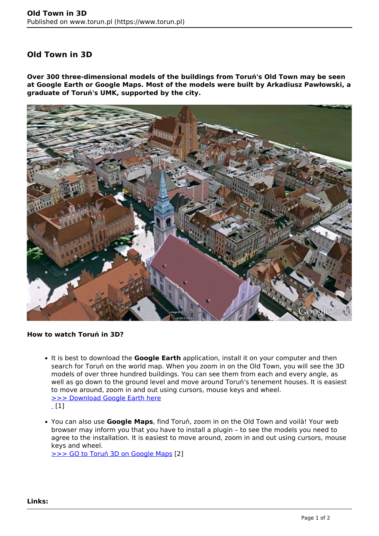## **Old Town in 3D**

**Over 300 three-dimensional models of the buildings from Toruń's Old Town may be seen at Google Earth or Google Maps. Most of the models were built by Arkadiusz Pawłowski, a graduate of Toruń's UMK, supported by the city.**



## **How to watch Toruń in 3D?**

- It is best to download the **Google Earth** application, install it on your computer and then search for Toruń on the world map. When you zoom in on the Old Town, you will see the 3D models of over three hundred buildings. You can see them from each and every angle, as well as go down to the ground level and move around Toruń's tenement houses. It is easiest to move around, zoom in and out using cursors, mouse keys and wheel. [>>> Download Google Earth here](http://www.google.com/intl/pl/earth/index.html)  $[1]$
- You can also use **Google Maps**, find Toruń, zoom in on the Old Town and voilà! Your web browser may inform you that you have to install a plugin – to see the models you need to agree to the installation. It is easiest to move around, zoom in and out using cursors, mouse keys and wheel. [>>> GO to Toruń 3D on Google Maps](http://maps.google.pl/maps?q=Toru%C5%84&hl=pl&ie=UTF8&ll=53.00921,18.60434&spn=0.001506,0.004128&sll=52.025459,19.204102&sspn=12.628288,33.815918&t=f&z=19&ecpose=53.00644228,18.60486807,166.33,-6.552,69.87,0.003) [2]